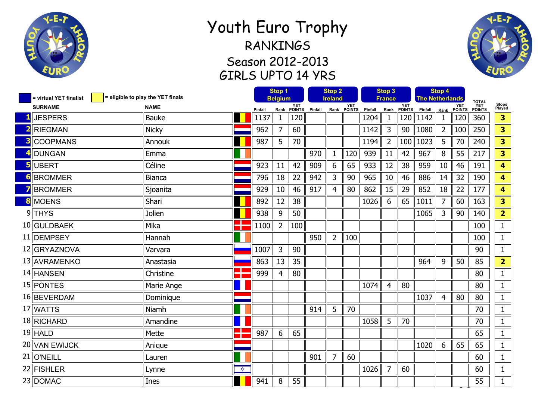

## Youth Euro Trophy RANKINGS Season 2012-2013 GIRLS UPTO 14 YRS



| = virtual YET finalist | Stop 1<br>= eligible to play the YET finals<br><b>Belgium</b> |                      |         | <b>Stop 2</b><br><b>Ireland</b> |               |         | Stop 3<br>France |                    |         | Stop 4<br><b>The Netherlands</b> |               |         |                |               |                                       |                         |
|------------------------|---------------------------------------------------------------|----------------------|---------|---------------------------------|---------------|---------|------------------|--------------------|---------|----------------------------------|---------------|---------|----------------|---------------|---------------------------------------|-------------------------|
| <b>SURNAME</b>         | <b>NAME</b>                                                   |                      | Pinfall | Rank                            | YET<br>POINTS | Pinfall |                  | YET<br>Rank POINTS | Pinfall | Rank                             | YET<br>POINTS | Pinfall | Rank           | YET<br>POINTS | <b>TOTAL</b><br><b>YET<br/>POINTS</b> | Stops<br>Played         |
| <b>JESPERS</b>         | <b>Bauke</b>                                                  |                      | 1137    | $\mathbf 1$                     | 120           |         |                  |                    | 1204    | 1                                | 120           | 1142    | $\mathbf{1}$   | 120           | 360                                   | 3                       |
| <b>RIEGMAN</b>         | <b>Nicky</b>                                                  |                      | 962     | $\overline{7}$                  | 60            |         |                  |                    | 1142    | 3                                | 90            | 1080    | $\overline{2}$ | 100           | 250                                   | 3                       |
| <b>COOPMANS</b>        | Annouk                                                        |                      | 987     | 5                               | 70            |         |                  |                    | 1194    | $\overline{2}$                   | 100           | 1023    | 5              | 70            | 240                                   | 3                       |
| <b>DUNGAN</b>          | Emma                                                          |                      |         |                                 |               | 970     | $\mathbf{1}$     | 120                | 939     | 11                               | 42            | 967     | 8              | 55            | 217                                   | 3                       |
| <b>UBERT</b>           | Céline                                                        |                      | 923     | 11                              | 42            | 909     | 6                | 65                 | 933     | 12                               | 38            | 959     | 10             | 46            | 191                                   | $\overline{\mathbf{4}}$ |
| <b>BROMMER</b>         | <b>Bianca</b>                                                 |                      | 796     | 18                              | 22            | 942     | 3                | 90                 | 965     | 10                               | 46            | 886     | 14             | 32            | 190                                   | 4                       |
| <b>BROMMER</b>         | Sjoanita                                                      |                      | 929     | 10                              | 46            | 917     | $\overline{4}$   | 80                 | 862     | 15                               | 29            | 852     | 18             | 22            | 177                                   | $\overline{\mathbf{4}}$ |
| <b>MOENS</b>           | Shari                                                         |                      | 892     | 12                              | 38            |         |                  |                    | 1026    | 6                                | 65            | 1011    | 7              | 60            | 163                                   | 3                       |
| $9$ THYS               | Jolien                                                        |                      | 938     | 9                               | 50            |         |                  |                    |         |                                  |               | 1065    | 3              | 90            | 140                                   | $\overline{2}$          |
| 10 GULDBAEK            | Mika                                                          |                      | 1100    | $\overline{2}$                  | 100           |         |                  |                    |         |                                  |               |         |                |               | 100                                   | $\mathbf{1}$            |
| 11 DEMPSEY             | Hannah                                                        |                      |         |                                 |               | 950     | $\overline{2}$   | 100                |         |                                  |               |         |                |               | 100                                   | $\mathbf{1}$            |
| 12 GRYAZNOVA           | Varvara                                                       |                      | 1007    | 3                               | 90            |         |                  |                    |         |                                  |               |         |                |               | 90                                    | $\mathbf 1$             |
| 13 AVRAMENKO           | Anastasia                                                     |                      | 863     | 13                              | 35            |         |                  |                    |         |                                  |               | 964     | 9              | 50            | 85                                    | $\overline{2}$          |
| 14 HANSEN              | Christine                                                     |                      | 999     | $\overline{4}$                  | 80            |         |                  |                    |         |                                  |               |         |                |               | 80                                    | $\mathbf{1}$            |
| 15 PONTES              | Marie Ange                                                    |                      |         |                                 |               |         |                  |                    | 1074    | $\overline{4}$                   | 80            |         |                |               | 80                                    | $\mathbf{1}$            |
| 16 BEVERDAM            | Dominique                                                     |                      |         |                                 |               |         |                  |                    |         |                                  |               | 1037    | 4              | 80            | 80                                    | 1                       |
| 17 WATTS               | Niamh                                                         |                      |         |                                 |               | 914     | 5                | 70                 |         |                                  |               |         |                |               | 70                                    | 1                       |
| 18 RICHARD             | Amandine                                                      |                      |         |                                 |               |         |                  |                    | 1058    | 5                                | 70            |         |                |               | 70                                    | 1                       |
| $19$ HALD              | Mette                                                         |                      | 987     | $6\,$                           | 65            |         |                  |                    |         |                                  |               |         |                |               | 65                                    | $\mathbf 1$             |
| 20 VAN EWIJCK          | Anique                                                        |                      |         |                                 |               |         |                  |                    |         |                                  |               | 1020    | 6              | 65            | 65                                    | 1                       |
| 21 O'NEILL             | Lauren                                                        |                      |         |                                 |               | 901     | $\overline{7}$   | 60                 |         |                                  |               |         |                |               | 60                                    | 1                       |
| 22 FISHLER             | Lynne                                                         | $\frac{1}{\sqrt{2}}$ |         |                                 |               |         |                  |                    | 1026    | 7                                | 60            |         |                |               | 60                                    | 1                       |
| 23 DOMAC               | Ines                                                          |                      | 941     | 8                               | 55            |         |                  |                    |         |                                  |               |         |                |               | 55                                    | $\mathbf{1}$            |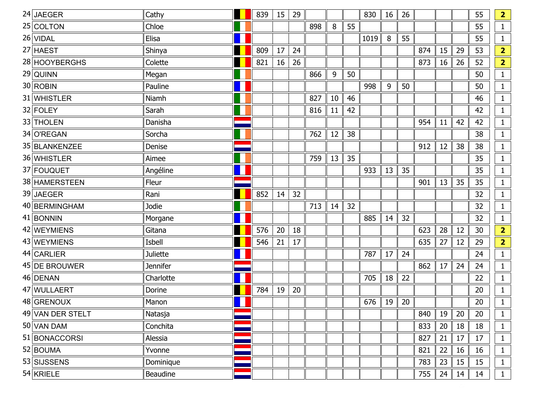| $24$ JAEGER      | Cathy           | 839 | 15 | 29 |     |     |    | 830  | 16 | 26 |     |    |    | 55 | $\overline{\mathbf{2}}$ |
|------------------|-----------------|-----|----|----|-----|-----|----|------|----|----|-----|----|----|----|-------------------------|
| 25 COLTON        | Chloe           |     |    |    | 898 | 8   | 55 |      |    |    |     |    |    | 55 | $\mathbf{1}$            |
| 26 VIDAL         | Elisa           |     |    |    |     |     |    | 1019 | 8  | 55 |     |    |    | 55 | $\mathbf{1}$            |
| 27 HAEST         | Shinya          | 809 | 17 | 24 |     |     |    |      |    |    | 874 | 15 | 29 | 53 | $\overline{2}$          |
| 28 HOOYBERGHS    | Colette         | 821 | 16 | 26 |     |     |    |      |    |    | 873 | 16 | 26 | 52 | $\overline{\mathbf{2}}$ |
| $29$ QUINN       | Megan           |     |    |    | 866 | $9$ | 50 |      |    |    |     |    |    | 50 | $\mathbf{1}$            |
| $30$ ROBIN       | Pauline         |     |    |    |     |     |    | 998  | 9  | 50 |     |    |    | 50 | $\mathbf{1}$            |
| 31 WHISTLER      | Niamh           |     |    |    | 827 | 10  | 46 |      |    |    |     |    |    | 46 | $\mathbf{1}$            |
| 32 FOLEY         | Sarah           |     |    |    | 816 | 11  | 42 |      |    |    |     |    |    | 42 | $\mathbf{1}$            |
| 33 THOLEN        | Danisha         |     |    |    |     |     |    |      |    |    | 954 | 11 | 42 | 42 | $\mathbf{1}$            |
| 34 O'REGAN       | Sorcha          |     |    |    | 762 | 12  | 38 |      |    |    |     |    |    | 38 | $\mathbf{1}$            |
| 35 BLANKENZEE    | Denise          |     |    |    |     |     |    |      |    |    | 912 | 12 | 38 | 38 | $\mathbf{1}$            |
| 36 WHISTLER      | Aimee           |     |    |    | 759 | 13  | 35 |      |    |    |     |    |    | 35 | $\mathbf{1}$            |
| 37 FOUQUET       | Angéline        |     |    |    |     |     |    | 933  | 13 | 35 |     |    |    | 35 | $\mathbf{1}$            |
| 38 HAMERSTEEN    | Fleur           |     |    |    |     |     |    |      |    |    | 901 | 13 | 35 | 35 | $\mathbf{1}$            |
| 39 JAEGER        | Rani            | 852 | 14 | 32 |     |     |    |      |    |    |     |    |    | 32 | $\mathbf{1}$            |
| 40 BERMINGHAM    | Jodie           |     |    |    | 713 | 14  | 32 |      |    |    |     |    |    | 32 | $\mathbf{1}$            |
| $41$ BONNIN      | Morgane         |     |    |    |     |     |    | 885  | 14 | 32 |     |    |    | 32 | $\mathbf{1}$            |
| 42 WEYMIENS      | Gitana          | 576 | 20 | 18 |     |     |    |      |    |    | 623 | 28 | 12 | 30 | $\overline{2}$          |
| 43 WEYMIENS      | Isbell          | 546 | 21 | 17 |     |     |    |      |    |    | 635 | 27 | 12 | 29 | $\overline{2}$          |
| 44 CARLIER       | <b>Juliette</b> |     |    |    |     |     |    | 787  | 17 | 24 |     |    |    | 24 | $\mathbf{1}$            |
| 45 DE BROUWER    | <b>Jennifer</b> |     |    |    |     |     |    |      |    |    | 862 | 17 | 24 | 24 | $\mathbf{1}$            |
| 46 DENAN         | Charlotte       |     |    |    |     |     |    | 705  | 18 | 22 |     |    |    | 22 | $\mathbf{1}$            |
| 47 WULLAERT      | Dorine          | 784 | 19 | 20 |     |     |    |      |    |    |     |    |    | 20 | $\mathbf{1}$            |
| 48 GRENOUX       | Manon           |     |    |    |     |     |    | 676  | 19 | 20 |     |    |    | 20 | $\mathbf{1}$            |
| 49 VAN DER STELT | Natasja         |     |    |    |     |     |    |      |    |    | 840 | 19 | 20 | 20 | $\mathbf{1}$            |
| 50 VAN DAM       | Conchita        |     |    |    |     |     |    |      |    |    | 833 | 20 | 18 | 18 | $\mathbf{1}$            |
| 51 BONACCORSI    | Alessia         |     |    |    |     |     |    |      |    |    | 827 | 21 | 17 | 17 | $\mathbf{1}$            |
| 52 BOUMA         | Yvonne          |     |    |    |     |     |    |      |    |    | 821 | 22 | 16 | 16 | $\mathbf{1}$            |
| 53 SIJSSENS      | Dominique       |     |    |    |     |     |    |      |    |    | 783 | 23 | 15 | 15 | $\mathbf{1}$            |
| $54$ KRIELE      | Beaudine        |     |    |    |     |     |    |      |    |    | 755 | 24 | 14 | 14 | $\mathbf{1}$            |